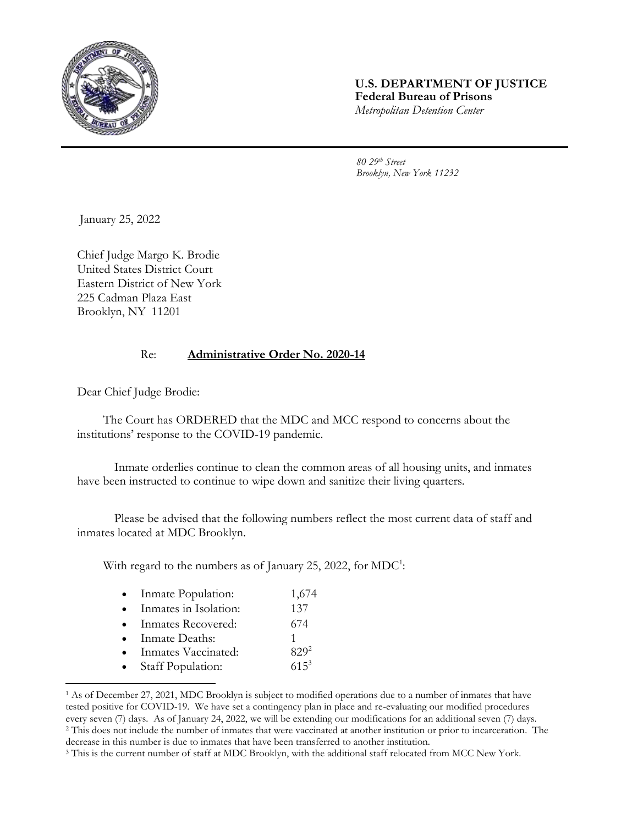

## **U.S. DEPARTMENT OF JUSTICE Federal Bureau of Prisons** *Metropolitan Detention Center*

*80 29th Street Brooklyn, New York 11232*

January 25, 2022

Chief Judge Margo K. Brodie United States District Court Eastern District of New York 225 Cadman Plaza East Brooklyn, NY 11201

## Re: **Administrative Order No. 2020-14**

Dear Chief Judge Brodie:

The Court has ORDERED that the MDC and MCC respond to concerns about the institutions' response to the COVID-19 pandemic.

Inmate orderlies continue to clean the common areas of all housing units, and inmates have been instructed to continue to wipe down and sanitize their living quarters.

Please be advised that the following numbers reflect the most current data of staff and inmates located at MDC Brooklyn.

With regard to the numbers as of January 25, 2022, for  $MDC^1$ :

|  | Inmate Population: | 1,674 |
|--|--------------------|-------|
|--|--------------------|-------|

- Inmates in Isolation: 137
- Inmates Recovered: 674
- Inmate Deaths: 1
- Inmates Vaccinated: 829<sup>2</sup>
- Staff Population: 615<sup>3</sup>

l

<sup>1</sup> As of December 27, 2021, MDC Brooklyn is subject to modified operations due to a number of inmates that have tested positive for COVID-19. We have set a contingency plan in place and re-evaluating our modified procedures every seven (7) days. As of January 24, 2022, we will be extending our modifications for an additional seven (7) days. <sup>2</sup> This does not include the number of inmates that were vaccinated at another institution or prior to incarceration. The decrease in this number is due to inmates that have been transferred to another institution.

<sup>&</sup>lt;sup>3</sup> This is the current number of staff at MDC Brooklyn, with the additional staff relocated from MCC New York.